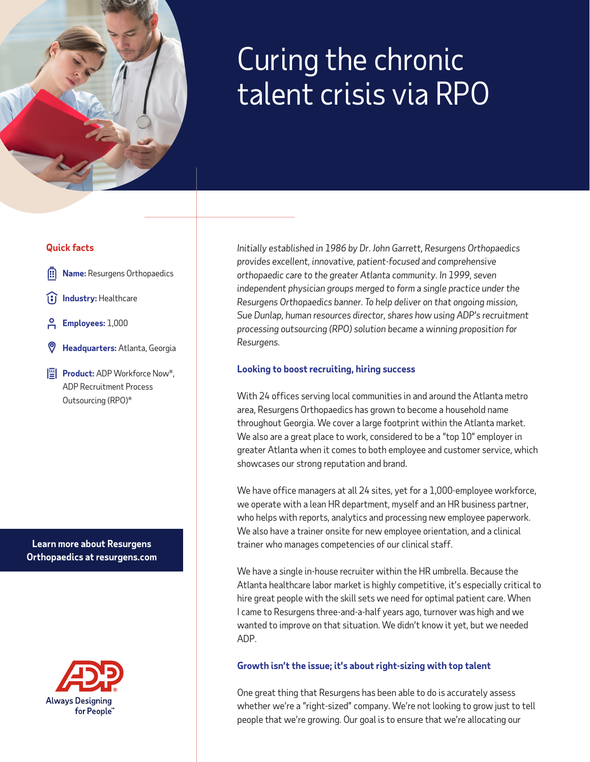## Curing the chronic talent crisis via RPO

#### **Quick facts**

- **Name:** Resurgens Orthopaedics
- **Industry:** Healthcare
- **Employees:** 1,000
- **Headquarters:** Atlanta, Georgia
- **Product:** ADP Workforce Now<sup>®</sup>, ADP Recruitment Process Outsourcing (RPO)®

**Learn more about Resurgens Orthopaedics at [resurgens.com](http://resurgens.com)**



*Initially established in 1986 by Dr. John Garrett, Resurgens Orthopaedics provides excellent, innovative, patient-focused and comprehensive orthopaedic care to the greater Atlanta community. In 1999, seven independent physician groups merged to form a single practice under the Resurgens Orthopaedics banner. To help deliver on that ongoing mission, Sue Dunlap, human resources director, shares how using ADP's recruitment processing outsourcing (RPO) solution became a winning proposition for Resurgens.*

#### **Looking to boost recruiting, hiring success**

With 24 offices serving local communities in and around the Atlanta metro area, Resurgens Orthopaedics has grown to become a household name throughout Georgia. We cover a large footprint within the Atlanta market. We also are a great place to work, considered to be a "top 10" employer in greater Atlanta when it comes to both employee and customer service, which showcases our strong reputation and brand.

We have office managers at all 24 sites, yet for a 1,000-employee workforce, we operate with a lean HR department, myself and an HR business partner, who helps with reports, analytics and processing new employee paperwork. We also have a trainer onsite for new employee orientation, and a clinical trainer who manages competencies of our clinical staff.

We have a single in-house recruiter within the HR umbrella. Because the Atlanta healthcare labor market is highly competitive, it's especially critical to hire great people with the skill sets we need for optimal patient care. When I came to Resurgens three-and-a-half years ago, turnover was high and we wanted to improve on that situation. We didn't know it yet, but we needed ADP.

#### **Growth isn't the issue; it's about right-sizing with top talent**

One great thing that Resurgens has been able to do is accurately assess whether we're a "right-sized" company. We're not looking to grow just to tell people that we're growing. Our goal is to ensure that we're allocating our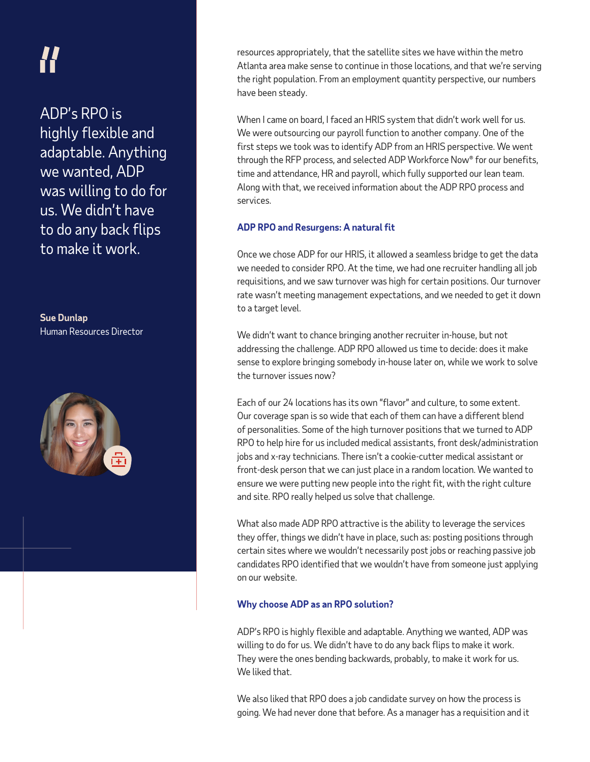# *!!*

ADP's RPO is highly flexible and adaptable. Anything we wanted, ADP was willing to do for us. We didn't have to do any back flips to make it work.

**Sue Dunlap** Human Resources Director



resources appropriately, that the satellite sites we have within the metro Atlanta area make sense to continue in those locations, and that we're serving the right population. From an employment quantity perspective, our numbers have been steady.

When I came on board, I faced an HRIS system that didn't work well for us. We were outsourcing our payroll function to another company. One of the first steps we took was to identify ADP from an HRIS perspective. We went through the RFP process, and selected ADP Workforce Now® for our benefits, time and attendance, HR and payroll, which fully supported our lean team. Along with that, we received information about the ADP RPO process and services.

#### **ADP RPO and Resurgens: A natural fit**

Once we chose ADP for our HRIS, it allowed a seamless bridge to get the data we needed to consider RPO. At the time, we had one recruiter handling all job requisitions, and we saw turnover was high for certain positions. Our turnover rate wasn't meeting management expectations, and we needed to get it down to a target level.

We didn't want to chance bringing another recruiter in-house, but not addressing the challenge. ADP RPO allowed us time to decide: does it make sense to explore bringing somebody in-house later on, while we work to solve the turnover issues now?

Each of our 24 locations has its own "flavor" and culture, to some extent. Our coverage span is so wide that each of them can have a different blend of personalities. Some of the high turnover positions that we turned to ADP RPO to help hire for us included medical assistants, front desk/administration jobs and x-ray technicians. There isn't a cookie-cutter medical assistant or front-desk person that we can just place in a random location. We wanted to ensure we were putting new people into the right fit, with the right culture and site. RPO really helped us solve that challenge.

What also made ADP RPO attractive is the ability to leverage the services they offer, things we didn't have in place, such as: posting positions through certain sites where we wouldn't necessarily post jobs or reaching passive job candidates RPO identified that we wouldn't have from someone just applying on our website.

#### **Why choose ADP as an RPO solution?**

ADP's RPO is highly flexible and adaptable. Anything we wanted, ADP was willing to do for us. We didn't have to do any back flips to make it work. They were the ones bending backwards, probably, to make it work for us. We liked that.

We also liked that RPO does a job candidate survey on how the process is going. We had never done that before. As a manager has a requisition and it